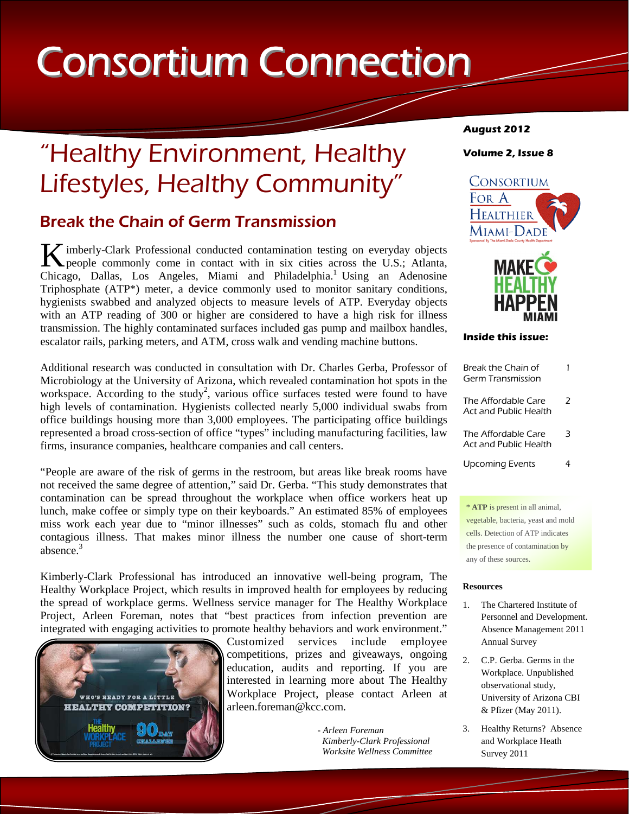# Consortium Connection

# "Healthy Environment, Healthy Lifestyles, Healthy Community"

# Break the Chain of Germ Transmission

K imberly-Clark Professional conducted contamination testing on everyday objects people commonly come in contact with in six cities across the U.S.; Atlanta, Chicago, Dallas, Los Angeles, Miami and Philadelphia.<sup>1</sup> Using an Adenosine Triphosphate (ATP\*) meter, a device commonly used to monitor sanitary conditions, hygienists swabbed and analyzed objects to measure levels of ATP. Everyday objects with an ATP reading of 300 or higher are considered to have a high risk for illness transmission. The highly contaminated surfaces included gas pump and mailbox handles, escalator rails, parking meters, and ATM, cross walk and vending machine buttons.

Additional research was conducted in consultation with Dr. Charles Gerba, Professor of Microbiology at the University of Arizona, which revealed contamination hot spots in the workspace. According to the study<sup>2</sup>, various office surfaces tested were found to have high levels of contamination. Hygienists collected nearly 5,000 individual swabs from office buildings housing more than 3,000 employees. The participating office buildings represented a broad cross-section of office "types" including manufacturing facilities, law firms, insurance companies, healthcare companies and call centers.

"People are aware of the risk of germs in the restroom, but areas like break rooms have not received the same degree of attention," said Dr. Gerba. "This study demonstrates that contamination can be spread throughout the workplace when office workers heat up lunch, make coffee or simply type on their keyboards." An estimated 85% of employees miss work each year due to "minor illnesses" such as colds, stomach flu and other contagious illness. That makes minor illness the number one cause of short-term absence. $3$ 

Kimberly-Clark Professional has introduced an innovative well-being program, The Healthy Workplace Project, which results in improved health for employees by reducing the spread of workplace germs. Wellness service manager for The Healthy Workplace Project, Arleen Foreman, notes that "best practices from infection prevention are integrated with engaging activities to promote healthy behaviors and work environment."



Customized services include employee competitions, prizes and giveaways, ongoing education, audits and reporting. If you are interested in learning more about The Healthy Workplace Project, please contact Arleen at arleen.foreman@kcc.com.

> *- Arleen Foreman Kimberly-Clark Professional Worksite Wellness Committee*

#### **August 2012**

#### **Volume 2, Issue 8**





#### **Inside this issue:**

| Break the Chain of<br><b>Germ Transmission</b> |   |
|------------------------------------------------|---|
| The Affordable Care<br>Act and Public Health   | 2 |
| The Affordable Care<br>Act and Public Health   |   |
| Upcoming Events                                |   |
| * ATP is present in all animal,                |   |
| vegetable, bacteria, yeast and mold            |   |

vegetable, bacteria, yeast and mold cells. Detection of ATP indicates the presence of contamination by any of these sources.

#### **Resources**

- 1. The Chartered Institute of Personnel and Development. Absence Management 2011 Annual Survey
- 2. C.P. Gerba. Germs in the Workplace. Unpublished observational study, University of Arizona CBI & Pfizer (May 2011).
- 3. Healthy Returns? Absence and Workplace Heath Survey 2011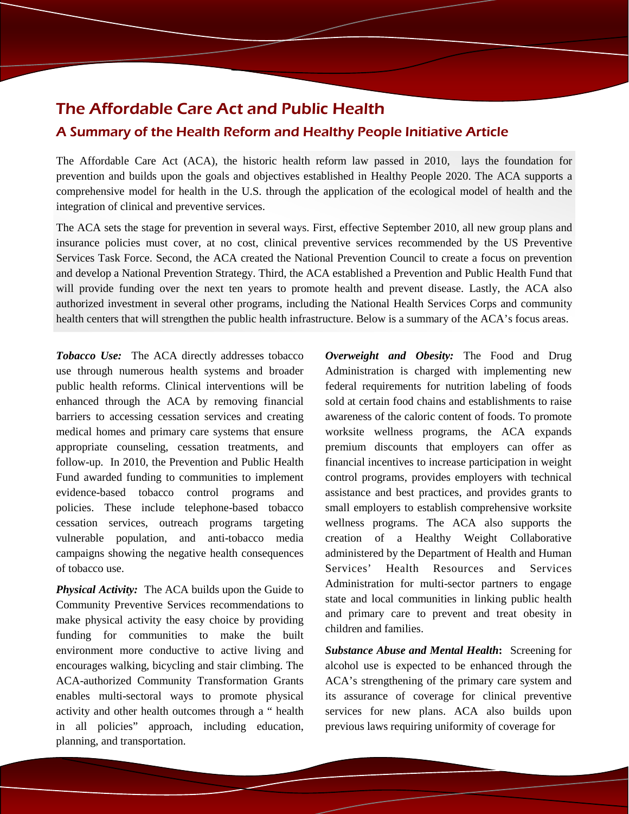## The Affordable Care Act and Public Health

### A Summary of the Health Reform and Healthy People Initiative Article

The Affordable Care Act (ACA), the historic health reform law passed in 2010, lays the foundation for prevention and builds upon the goals and objectives established in Healthy People 2020. The ACA supports a comprehensive model for health in the U.S. through the application of the ecological model of health and the integration of clinical and preventive services.

The ACA sets the stage for prevention in several ways. First, effective September 2010, all new group plans and insurance policies must cover, at no cost, clinical preventive services recommended by the US Preventive Services Task Force. Second, the ACA created the National Prevention Council to create a focus on prevention and develop a National Prevention Strategy. Third, the ACA established a Prevention and Public Health Fund that will provide funding over the next ten years to promote health and prevent disease. Lastly, the ACA also authorized investment in several other programs, including the National Health Services Corps and community health centers that will strengthen the public health infrastructure. Below is a summary of the ACA's focus areas.

*Tobacco Use:* The ACA directly addresses tobacco use through numerous health systems and broader public health reforms. Clinical interventions will be enhanced through the ACA by removing financial barriers to accessing cessation services and creating medical homes and primary care systems that ensure appropriate counseling, cessation treatments, and follow-up. In 2010, the Prevention and Public Health Fund awarded funding to communities to implement evidence-based tobacco control programs and policies. These include telephone-based tobacco cessation services, outreach programs targeting vulnerable population, and anti-tobacco media campaigns showing the negative health consequences of tobacco use.

*Physical Activity:* The ACA builds upon the Guide to Community Preventive Services recommendations to make physical activity the easy choice by providing funding for communities to make the built environment more conductive to active living and encourages walking, bicycling and stair climbing. The ACA-authorized Community Transformation Grants enables multi-sectoral ways to promote physical activity and other health outcomes through a " health in all policies" approach, including education, planning, and transportation.

*Overweight and Obesity:* The Food and Drug Administration is charged with implementing new federal requirements for nutrition labeling of foods sold at certain food chains and establishments to raise awareness of the caloric content of foods. To promote worksite wellness programs, the ACA expands premium discounts that employers can offer as financial incentives to increase participation in weight control programs, provides employers with technical assistance and best practices, and provides grants to small employers to establish comprehensive worksite wellness programs. The ACA also supports the creation of a Healthy Weight Collaborative administered by the Department of Health and Human Services' Health Resources and Services Administration for multi-sector partners to engage state and local communities in linking public health and primary care to prevent and treat obesity in children and families.

*Substance Abuse and Mental Health***:** Screening for alcohol use is expected to be enhanced through the ACA's strengthening of the primary care system and its assurance of coverage for clinical preventive services for new plans. ACA also builds upon previous laws requiring uniformity of coverage for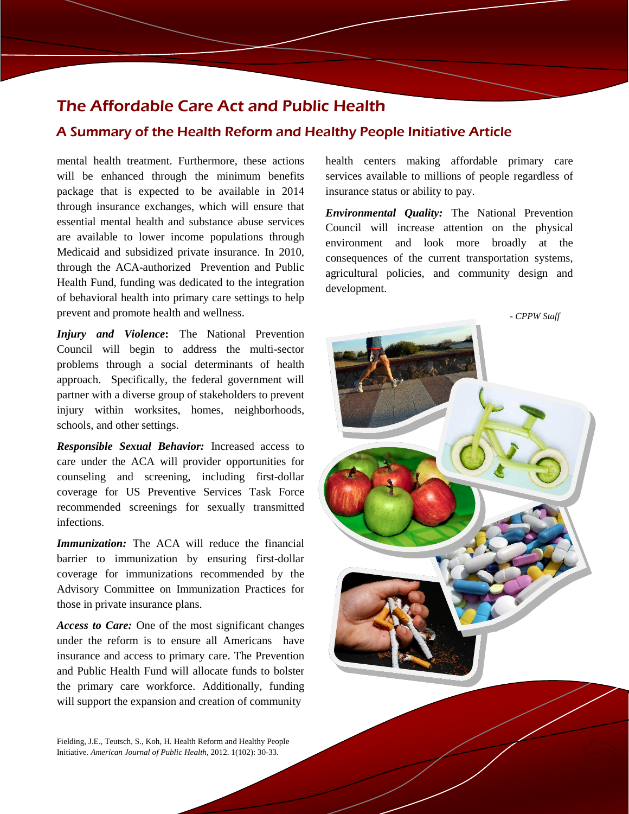# The Affordable Care Act and Public Health

### A Summary of the Health Reform and Healthy People Initiative Article

mental health treatment. Furthermore, these actions will be enhanced through the minimum benefits package that is expected to be available in 2014 through insurance exchanges, which will ensure that essential mental health and substance abuse services are available to lower income populations through Medicaid and subsidized private insurance. In 2010, through the ACA-authorized Prevention and Public Health Fund, funding was dedicated to the integration of behavioral health into primary care settings to help prevent and promote health and wellness.

*Injury and Violence***:** The National Prevention Council will begin to address the multi-sector problems through a social determinants of health approach. Specifically, the federal government will partner with a diverse group of stakeholders to prevent injury within worksites, homes, neighborhoods, schools, and other settings.

*Responsible Sexual Behavior:* Increased access to care under the ACA will provider opportunities for counseling and screening, including first-dollar coverage for US Preventive Services Task Force recommended screenings for sexually transmitted infections.

*Immunization:* The ACA will reduce the financial barrier to immunization by ensuring first-dollar coverage for immunizations recommended by the Advisory Committee on Immunization Practices for those in private insurance plans.

*Access to Care:* One of the most significant changes under the reform is to ensure all Americans have insurance and access to primary care. The Prevention and Public Health Fund will allocate funds to bolster the primary care workforce. Additionally, funding will support the expansion and creation of community

Fielding, J.E., Teutsch, S., Koh, H. Health Reform and Healthy People Initiative. *American Journal of Public Health*, 2012. 1(102): 30-33.

health centers making affordable primary care services available to millions of people regardless of insurance status or ability to pay.

*Environmental Quality:* The National Prevention Council will increase attention on the physical environment and look more broadly at the consequences of the current transportation systems, agricultural policies, and community design and development.